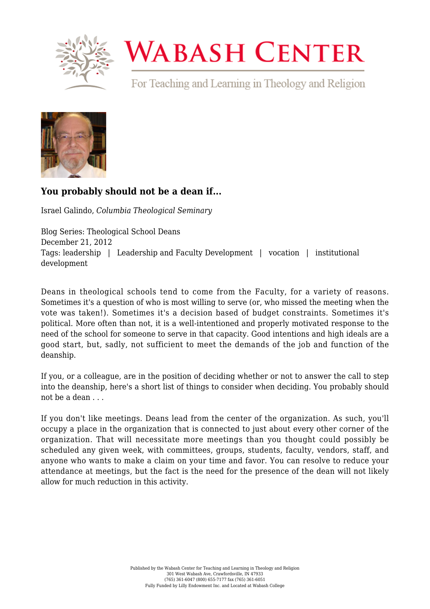

## **WABASH CENTER**

For Teaching and Learning in Theology and Religion



## **[You probably should not be a dean if...](https://www.wabashcenter.wabash.edu/2012/12/you-probably-should-not-be-a-dean-if/)**

Israel Galindo, *Columbia Theological Seminary*

Blog Series: Theological School Deans December 21, 2012 Tags: leadership | Leadership and Faculty Development | vocation | institutional development

Deans in theological schools tend to come from the Faculty, for a variety of reasons. Sometimes it's a question of who is most willing to serve (or, who missed the meeting when the vote was taken!). Sometimes it's a decision based of budget constraints. Sometimes it's political. More often than not, it is a well-intentioned and properly motivated response to the need of the school for someone to serve in that capacity. Good intentions and high ideals are a good start, but, sadly, not sufficient to meet the demands of the job and function of the deanship.

If you, or a colleague, are in the position of deciding whether or not to answer the call to step into the deanship, here's a short list of things to consider when deciding. You probably should not be a dean . . .

If you don't like meetings. Deans lead from the center of the organization. As such, you'll occupy a place in the organization that is connected to just about every other corner of the organization. That will necessitate more meetings than you thought could possibly be scheduled any given week, with committees, groups, students, faculty, vendors, staff, and anyone who wants to make a claim on your time and favor. You can resolve to reduce your attendance at meetings, but the fact is the need for the presence of the dean will not likely allow for much reduction in this activity.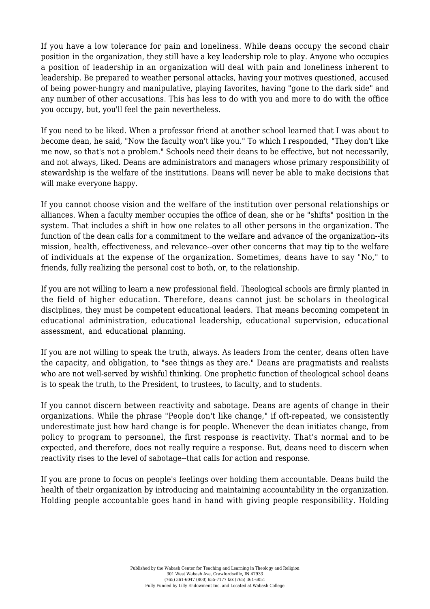If you have a low tolerance for pain and loneliness. While deans occupy the second chair position in the organization, they still have a key leadership role to play. Anyone who occupies a position of leadership in an organization will deal with pain and loneliness inherent to leadership. Be prepared to weather personal attacks, having your motives questioned, accused of being power-hungry and manipulative, playing favorites, having "gone to the dark side" and any number of other accusations. This has less to do with you and more to do with the office you occupy, but, you'll feel the pain nevertheless.

If you need to be liked. When a professor friend at another school learned that I was about to become dean, he said, "Now the faculty won't like you." To which I responded, "They don't like me now, so that's not a problem." Schools need their deans to be effective, but not necessarily, and not always, liked. Deans are administrators and managers whose primary responsibility of stewardship is the welfare of the institutions. Deans will never be able to make decisions that will make everyone happy.

If you cannot choose vision and the welfare of the institution over personal relationships or alliances. When a faculty member occupies the office of dean, she or he "shifts" position in the system. That includes a shift in how one relates to all other persons in the organization. The function of the dean calls for a commitment to the welfare and advance of the organization--its mission, health, effectiveness, and relevance--over other concerns that may tip to the welfare of individuals at the expense of the organization. Sometimes, deans have to say "No," to friends, fully realizing the personal cost to both, or, to the relationship.

If you are not willing to learn a new professional field. Theological schools are firmly planted in the field of higher education. Therefore, deans cannot just be scholars in theological disciplines, they must be competent educational leaders. That means becoming competent in educational administration, educational leadership, educational supervision, educational assessment, and educational planning.

If you are not willing to speak the truth, always. As leaders from the center, deans often have the capacity, and obligation, to "see things as they are." Deans are pragmatists and realists who are not well-served by wishful thinking. One prophetic function of theological school deans is to speak the truth, to the President, to trustees, to faculty, and to students.

If you cannot discern between reactivity and sabotage. Deans are agents of change in their organizations. While the phrase "People don't like change," if oft-repeated, we consistently underestimate just how hard change is for people. Whenever the dean initiates change, from policy to program to personnel, the first response is reactivity. That's normal and to be expected, and therefore, does not really require a response. But, deans need to discern when reactivity rises to the level of sabotage--that calls for action and response.

If you are prone to focus on people's feelings over holding them accountable. Deans build the health of their organization by introducing and maintaining accountability in the organization. Holding people accountable goes hand in hand with giving people responsibility. Holding